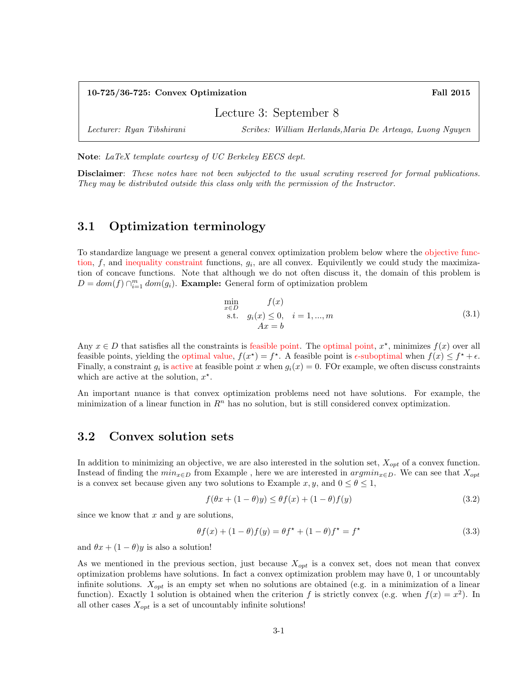| $10-725/36-725$ : Convex Optimization |                                                           | <b>Fall 2015</b> |
|---------------------------------------|-----------------------------------------------------------|------------------|
| Lecture 3: September 8                |                                                           |                  |
| Lecturer: Ryan Tibshirani             | Scribes: William Herlands, Maria De Arteaga, Luong Nguyen |                  |

Note: LaTeX template courtesy of UC Berkeley EECS dept.

Disclaimer: These notes have not been subjected to the usual scrutiny reserved for formal publications. They may be distributed outside this class only with the permission of the Instructor.

## 3.1 Optimization terminology

To standardize language we present a general convex optimization problem below where the objective function,  $f$ , and inequality constraint functions,  $g_i$ , are all convex. Equivilently we could study the maximization of concave functions. Note that although we do not often discuss it, the domain of this problem is  $D = dom(f) \cap_{i=1}^{m} dom(g_i)$ . **Example:** General form of optimization problem

$$
\min_{\substack{x \in D \\ \text{s.t.} \quad g_i(x) \le 0, \quad i = 1, \dots, m}} f(x) \nAx = b
$$
\n(3.1)

Any  $x \in D$  that satisfies all the constraints is feasible point. The optimal point,  $x^*$ , minimizes  $f(x)$  over all feasible points, yielding the optimal value,  $f(x^*) = f^*$ . A feasible point is  $\epsilon$ -suboptimal when  $f(x) \leq f^* + \epsilon$ . Finally, a constraint  $g_i$  is active at feasible point x when  $g_i(x) = 0$ . FOr example, we often discuss constraints which are active at the solution,  $x^*$ .

An important nuance is that convex optimization problems need not have solutions. For example, the minimization of a linear function in  $\mathbb{R}^n$  has no solution, but is still considered convex optimization.

# 3.2 Convex solution sets

In addition to minimizing an objective, we are also interested in the solution set,  $X_{opt}$  of a convex function. Instead of finding the  $min_{x \in D}$  from Example, here we are interested in  $argmin_{x \in D}$ . We can see that  $X_{opt}$ is a convex set because given any two solutions to Example  $x, y$ , and  $0 \le \theta \le 1$ ,

$$
f(\theta x + (1 - \theta)y) \le \theta f(x) + (1 - \theta)f(y)
$$
\n(3.2)

since we know that  $x$  and  $y$  are solutions,

$$
\theta f(x) + (1 - \theta)f(y) = \theta f^* + (1 - \theta)f^* = f^* \tag{3.3}
$$

and  $\theta x + (1 - \theta)y$  is also a solution!

As we mentioned in the previous section, just because  $X_{opt}$  is a convex set, does not mean that convex optimization problems have solutions. In fact a convex optimization problem may have 0, 1 or uncountably infinite solutions.  $X_{opt}$  is an empty set when no solutions are obtained (e.g. in a minimization of a linear function). Exactly 1 solution is obtained when the criterion f is strictly convex (e.g. when  $f(x) = x^2$ ). In all other cases  $X_{opt}$  is a set of uncountably infinite solutions!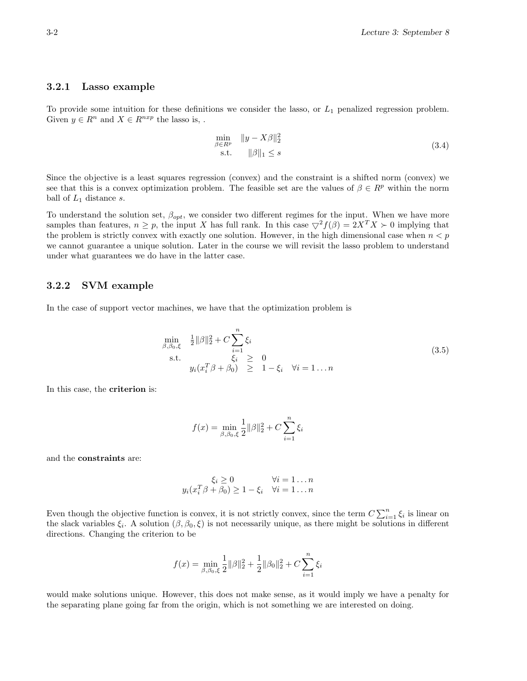#### 3.2.1 Lasso example

To provide some intuition for these definitions we consider the lasso, or  $L_1$  penalized regression problem. Given  $y \in R^n$  and  $X \in R^{nxp}$  the lasso is, .

$$
\min_{\beta \in R^p} \|y - X\beta\|_2^2
$$
\n
$$
\text{s.t.} \quad \|\beta\|_1 \le s \tag{3.4}
$$

Since the objective is a least squares regression (convex) and the constraint is a shifted norm (convex) we see that this is a convex optimization problem. The feasible set are the values of  $\beta \in R^p$  within the norm ball of  $L_1$  distance s.

To understand the solution set,  $\beta_{opt}$ , we consider two different regimes for the input. When we have more samples than features,  $n \geq p$ , the input X has full rank. In this case  $\bigtriangledown^2 f(\beta) = 2X^T X \succ 0$  implying that the problem is strictly convex with exactly one solution. However, in the high dimensional case when  $n < p$ we cannot guarantee a unique solution. Later in the course we will revisit the lasso problem to understand under what guarantees we do have in the latter case.

#### 3.2.2 SVM example

In the case of support vector machines, we have that the optimization problem is

$$
\min_{\beta, \beta_0, \xi} \quad \frac{1}{2} ||\beta||_2^2 + C \sum_{i=1}^n \xi_i \n\text{s.t.} \quad \xi_i \geq 0 \n y_i(x_i^T \beta + \beta_0) \geq 1 - \xi_i \quad \forall i = 1...n
$$
\n(3.5)

In this case, the criterion is:

$$
f(x)=\min_{\beta,\beta_0,\xi} \frac{1}{2}\|\beta\|_2^2+C\sum_{i=1}^n \xi_i
$$

and the constraints are:

$$
\xi_i \ge 0 \qquad \forall i = 1 \dots n
$$
  

$$
y_i(x_i^T \beta + \beta_0) \ge 1 - \xi_i \quad \forall i = 1 \dots n
$$

Even though the objective function is convex, it is not strictly convex, since the term  $C\sum_{i=1}^{n}\xi_i$  is linear on the slack variables  $\xi_i$ . A solution  $(\beta, \beta_0, \xi)$  is not necessarily unique, as there might be solutions in different directions. Changing the criterion to be

$$
f(x) = \min_{\beta, \beta_0, \xi} \frac{1}{2} ||\beta||_2^2 + \frac{1}{2} ||\beta_0||_2^2 + C \sum_{i=1}^n \xi_i
$$

would make solutions unique. However, this does not make sense, as it would imply we have a penalty for the separating plane going far from the origin, which is not something we are interested on doing.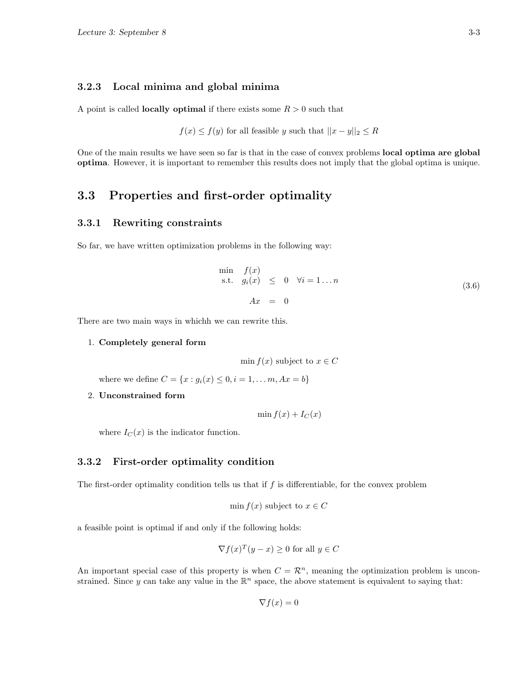#### 3.2.3 Local minima and global minima

A point is called **locally optimal** if there exists some  $R > 0$  such that

 $f(x) \leq f(y)$  for all feasible y such that  $||x - y||_2 \leq R$ 

One of the main results we have seen so far is that in the case of convex problems **local optima are global** optima. However, it is important to remember this results does not imply that the global optima is unique.

# 3.3 Properties and first-order optimality

## 3.3.1 Rewriting constraints

So far, we have written optimization problems in the following way:

$$
\begin{array}{rcl}\n\min & f(x) \\
\text{s.t.} & g_i(x) \leq 0 \quad \forall i = 1 \dots n \\
 & Ax & = 0\n\end{array} \tag{3.6}
$$

There are two main ways in whichh we can rewrite this.

#### 1. Completely general form

min  $f(x)$  subject to  $x \in C$ 

where we define  $C = \{x : g_i(x) \leq 0, i = 1, ..., m, Ax = b\}$ 

#### 2. Unconstrained form

 $\min f(x) + I_C(x)$ 

where  $I_C(x)$  is the indicator function.

## 3.3.2 First-order optimality condition

The first-order optimality condition tells us that if  $f$  is differentiable, for the convex problem

$$
\min f(x)
$$
 subject to  $x \in C$ 

a feasible point is optimal if and only if the following holds:

$$
\nabla f(x)^T (y - x) \ge 0 \text{ for all } y \in C
$$

An important special case of this property is when  $C = \mathcal{R}^n$ , meaning the optimization problem is unconstrained. Since y can take any value in the  $\mathbb{R}^n$  space, the above statement is equivalent to saying that:

 $\nabla f(x) = 0$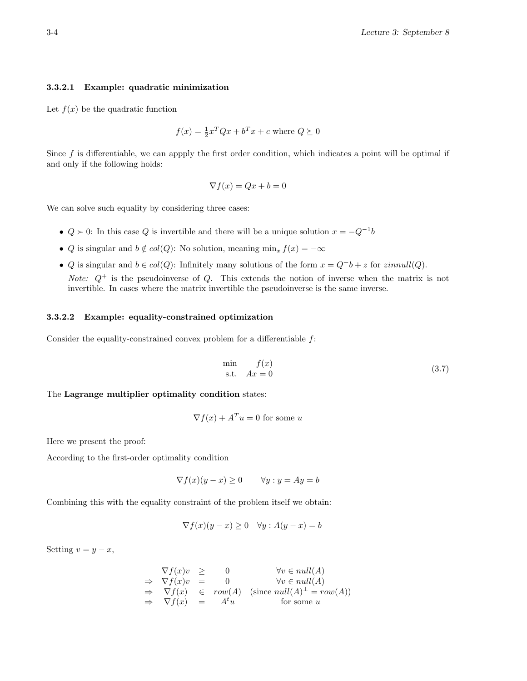#### 3.3.2.1 Example: quadratic minimization

Let  $f(x)$  be the quadratic function

$$
f(x) = \frac{1}{2}x^T Q x + b^T x + c
$$
 where  $Q \succeq 0$ 

Since f is differentiable, we can appply the first order condition, which indicates a point will be optimal if and only if the following holds:

$$
\nabla f(x) = Qx + b = 0
$$

We can solve such equality by considering three cases:

- $Q \succ 0$ : In this case Q is invertible and there will be a unique solution  $x = -Q^{-1}b$
- Q is singular and  $b \notin col(Q)$ : No solution, meaning min<sub>x</sub>  $f(x) = -\infty$
- Q is singular and  $b \in col(Q)$ : Infinitely many solutions of the form  $x = Q^+b + z$  for  $zinnull(Q)$ . *Note:*  $Q^+$  is the pseudoinverse of  $Q$ . This extends the notion of inverse when the matrix is not invertible. In cases where the matrix invertible the pseudoinverse is the same inverse.

#### 3.3.2.2 Example: equality-constrained optimization

Consider the equality-constrained convex problem for a differentiable  $f$ :

$$
\min_{\text{s.t.}} f(x) \n\text{s.t.} Ax = 0
$$
\n(3.7)

The Lagrange multiplier optimality condition states:

$$
\nabla f(x) + A^T u = 0
$$
 for some u

Here we present the proof:

According to the first-order optimality condition

$$
\nabla f(x)(y - x) \ge 0 \qquad \forall y : y = Ay = b
$$

Combining this with the equality constraint of the problem itself we obtain:

$$
\nabla f(x)(y - x) \ge 0 \quad \forall y : A(y - x) = b
$$

Setting  $v = y - x$ ,

$$
\nabla f(x)v \geq 0 \qquad \forall v \in null(A)
$$
  
\n
$$
\Rightarrow \nabla f(x)v = 0 \qquad \forall v \in null(A)
$$
  
\n
$$
\Rightarrow \nabla f(x) \in row(A) \text{ (since } null(A)^{\perp} = row(A))
$$
  
\n
$$
\Rightarrow \nabla f(x) = A^t u \qquad \text{for some } u
$$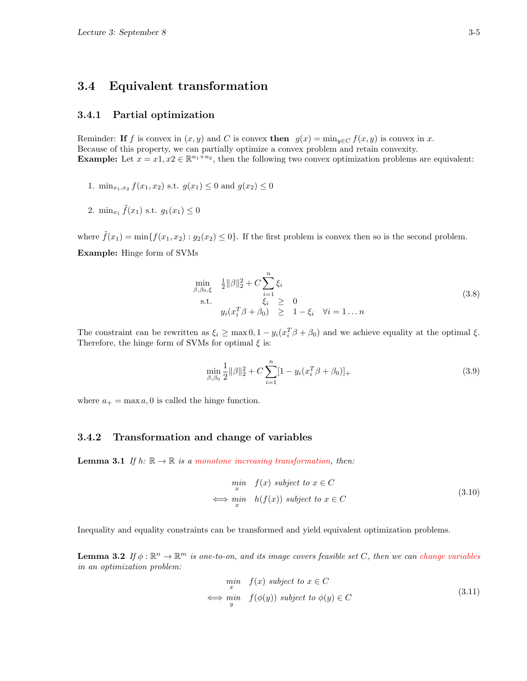# 3.4 Equivalent transformation

## 3.4.1 Partial optimization

Reminder: If f is convex in  $(x, y)$  and C is convex then  $g(x) = \min_{y \in C} f(x, y)$  is convex in x. Because of this property, we can partially optimize a convex problem and retain convexity. **Example:** Let  $x = x_1, x_2 \in \mathbb{R}^{n_1+n_2}$ , then the following two convex optimization problems are equivalent:

- 1.  $\min_{x_1, x_2} f(x_1, x_2)$  s.t.  $g(x_1) \leq 0$  and  $g(x_2) \leq 0$
- 2.  $\min_{x_1} \tilde{f}(x_1) \text{ s.t. } g_1(x_1) \leq 0$

where  $\tilde{f}(x_1) = \min\{f(x_1, x_2) : g_2(x_2) \leq 0\}$ . If the first problem is convex then so is the second problem.

Example: Hinge form of SVMs

$$
\min_{\beta, \beta_0, \xi} \quad \frac{1}{2} ||\beta||_2^2 + C \sum_{i=1}^n \xi_i
$$
\n
$$
\text{s.t.} \quad \xi_i \geq 0
$$
\n
$$
y_i(x_i^T \beta + \beta_0) \geq 1 - \xi_i \quad \forall i = 1...n
$$
\n(3.8)

The constraint can be rewritten as  $\xi_i \ge \max(0, 1 - y_i(x_i^T \beta + \beta_0))$  and we achieve equality at the optimal  $\xi$ . Therefore, the hinge form of SVMs for optimal  $\xi$  is:

$$
\min_{\beta,\beta_0} \frac{1}{2} ||\beta||_2^2 + C \sum_{i=1}^n [1 - y_i(x_i^T \beta + \beta_0)]_+\tag{3.9}
$$

where  $a_+ = \max a, 0$  is called the hinge function.

## 3.4.2 Transformation and change of variables

**Lemma 3.1** If h:  $\mathbb{R} \to \mathbb{R}$  is a monotone increasing transformation, then:

$$
\min_{x} \quad f(x) \text{ subject to } x \in C
$$
\n
$$
\iff \min_{x} \quad h(f(x)) \text{ subject to } x \in C
$$
\n
$$
(3.10)
$$

Inequality and equality constraints can be transformed and yield equivalent optimization problems.

**Lemma 3.2** If  $\phi : \mathbb{R}^n \to \mathbb{R}^m$  is one-to-on, and its image covers feasible set C, then we can change variables in an optimization problem:

$$
\begin{array}{ll}\n\text{min} & f(x) \text{ subject to } x \in C \\
\iff \text{min} & f(\phi(y)) \text{ subject to } \phi(y) \in C\n\end{array} \tag{3.11}
$$